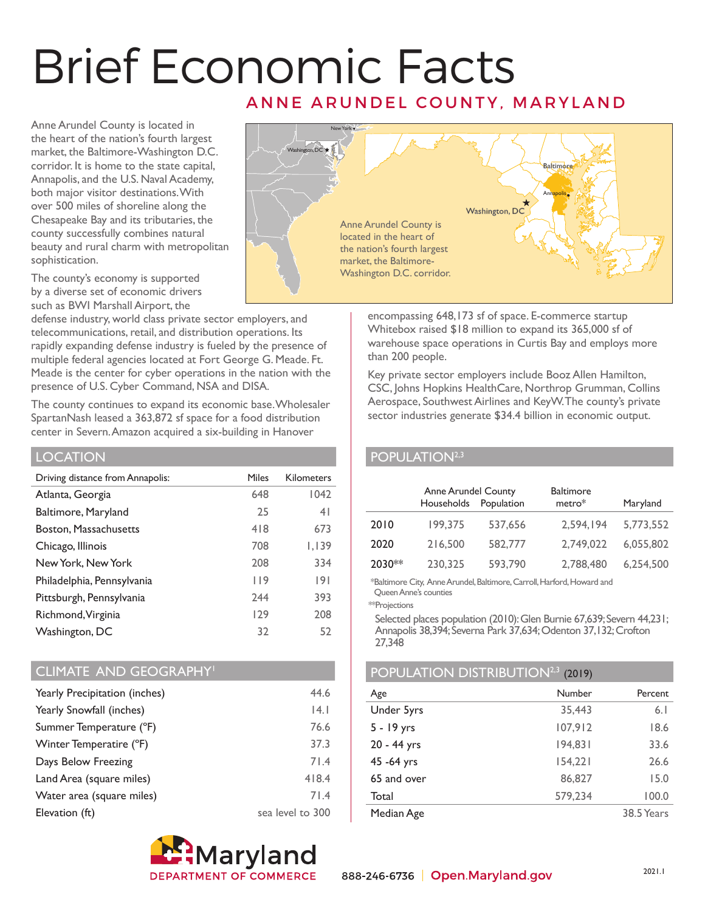# Brief Economic Facts ANNE ARUNDEL COUNTY, MARYLAND

Anne Arundel County is located in the heart of the nation's fourth largest market, the Baltimore-Washington D.C. corridor. It is home to the state capital, Annapolis, and the U.S. Naval Academy, both major visitor destinations. With over 500 miles of shoreline along the Chesapeake Bay and its tributaries, the county successfully combines natural beauty and rural charm with metropolitan sophistication.

The county's economy is supported by a diverse set of economic drivers such as BWI Marshall Airport, the

defense industry, world class private sector employers, and telecommunications, retail, and distribution operations. Its rapidly expanding defense industry is fueled by the presence of multiple federal agencies located at Fort George G. Meade. Ft. Meade is the center for cyber operations in the nation with the presence of U.S. Cyber Command, NSA and DISA.

The county continues to expand its economic base. Wholesaler SpartanNash leased a 363,872 sf space for a food distribution center in Severn. Amazon acquired a six-building in Hanover

### LOCATION

| Driving distance from Annapolis: | Miles | <b>Kilometers</b> |
|----------------------------------|-------|-------------------|
| Atlanta, Georgia                 | 648   | 1042              |
| Baltimore, Maryland              | 25    | 4 <sup>1</sup>    |
| <b>Boston, Massachusetts</b>     | 418   | 673               |
| Chicago, Illinois                | 708   | 1,139             |
| New York, New York               | 208   | 334               |
| Philadelphia, Pennsylvania       | 119   | 9                 |
| Pittsburgh, Pennsylvania         | 244   | 393               |
| Richmond, Virginia               | 129   | 208               |
| Washington, DC                   | 32    | 52                |

## CLIMATE AND GEOGRAPHY<sup>1</sup>

| Yearly Precipitation (inches) | 44.6             |
|-------------------------------|------------------|
| Yearly Snowfall (inches)      | 4.1              |
| Summer Temperature (°F)       | 76.6             |
| Winter Temperatire (°F)       | 37.3             |
| Days Below Freezing           | 71.4             |
| Land Area (square miles)      | 418.4            |
| Water area (square miles)     | 71.4             |
| Elevation (ft)                | sea level to 300 |





encompassing 648,173 sf of space. E-commerce startup Whitebox raised \$18 million to expand its 365,000 sf of warehouse space operations in Curtis Bay and employs more than 200 people.

Key private sector employers include Booz Allen Hamilton, CSC, Johns Hopkins HealthCare, Northrop Grumman, Collins Aerospace, Southwest Airlines and KeyW. The county's private sector industries generate \$34.4 billion in economic output.

# POPULATION<sup>2,3</sup>

|        | <b>Anne Arundel County</b><br>Households | Population | <b>Baltimore</b><br>$metric*$ | Maryland  |
|--------|------------------------------------------|------------|-------------------------------|-----------|
| 2010   | 199,375                                  | 537,656    | 2,594,194                     | 5,773,552 |
| 2020   | 216,500                                  | 582,777    | 2,749,022                     | 6,055,802 |
| 2030** | 230,325                                  | 593,790    | 2,788,480                     | 6.254.500 |

\*Baltimore City, Anne Arundel, Baltimore, Carroll, Harford, Howard and Queen Anne's counties

\*\*Projections

 Selected places population (2010): Glen Burnie 67,639; Severn 44,231; Annapolis 38,394; Severna Park 37,634; Odenton 37,132; Crofton 27,348

## POPULATION DISTRIBUTION<sup>2,3</sup> (2019)

| Age         | Number  | Percent    |
|-------------|---------|------------|
| Under 5yrs  | 35,443  | 6.1        |
| 5 - 19 yrs  | 107,912 | 18.6       |
| 20 - 44 yrs | 194,831 | 33.6       |
| 45 - 64 yrs | 154,221 | 26.6       |
| 65 and over | 86,827  | 15.0       |
| Total       | 579,234 | 100.0      |
| Median Age  |         | 38.5 Years |
|             |         |            |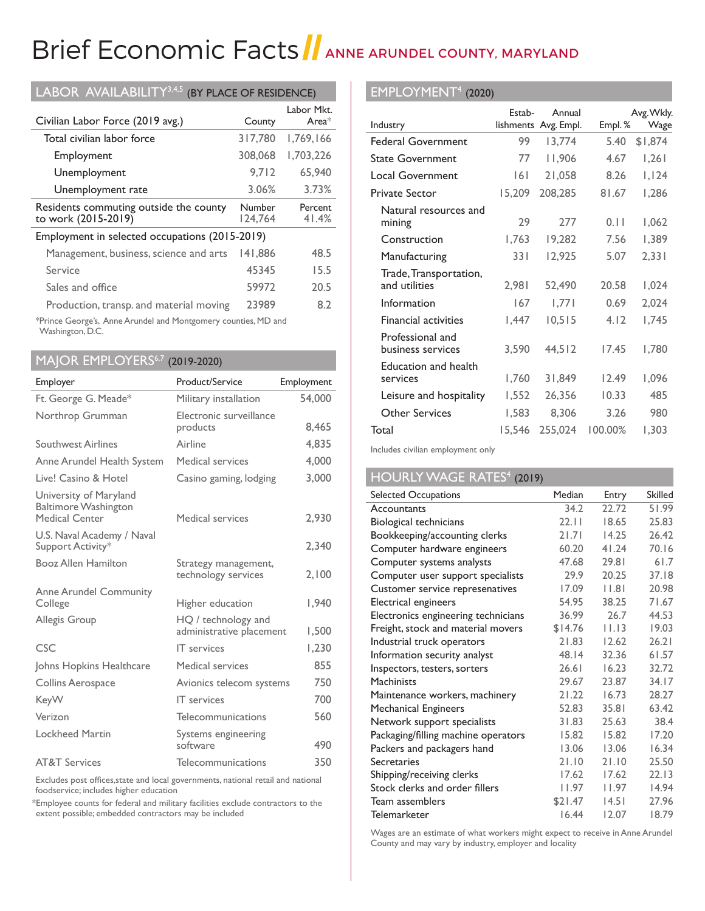# Brief Economic Facts | ANNE ARUNDEL COUNTY, MARYLAND

| LABOR AVAILABILITY <sup>3,4,5</sup><br>(BY PLACE OF RESIDENCE) |                   |                        |  |  |
|----------------------------------------------------------------|-------------------|------------------------|--|--|
| Civilian Labor Force (2019 avg.)                               | County            | Labor Mkt.<br>Area $*$ |  |  |
| Total civilian labor force                                     | 317,780           | 1,769,166              |  |  |
| Employment                                                     | 308,068           | 1,703,226              |  |  |
| Unemployment                                                   | 9.712             | 65.940                 |  |  |
| Unemployment rate                                              | 3.06%             | 3.73%                  |  |  |
| Residents commuting outside the county<br>to work (2015-2019)  | Number<br>124,764 | Percent<br>41.4%       |  |  |
| Employment in selected occupations (2015-2019)                 |                   |                        |  |  |
| Management, business, science and arts                         | 141,886           | 48.5                   |  |  |
| Service                                                        | 45345             | 15.5                   |  |  |
| Sales and office                                               | 59972             | 20.5                   |  |  |
| Production, transp. and material moving                        | 23989             | 8.2                    |  |  |
| *Prince George's, Anne Arundel and Montgomery counties, MD and |                   |                        |  |  |

\*Prince George's, Anne Arundel and Montgomery counties, MD and Washington, D.C.

# MAJOR EMPLOYERS<sup>6,7</sup> (2019-2020)

| Employer                                                                | Product/Service                                 | Employment |
|-------------------------------------------------------------------------|-------------------------------------------------|------------|
| Ft. George G. Meade*                                                    | Military installation                           | 54,000     |
| Northrop Grumman                                                        | Electronic surveillance<br>products             | 8.465      |
| Southwest Airlines                                                      | Airline                                         | 4,835      |
| Anne Arundel Health System                                              | Medical services                                | 4,000      |
| Live! Casino & Hotel                                                    | Casino gaming, lodging                          | 3,000      |
| University of Maryland<br><b>Baltimore Washington</b><br>Medical Center | Medical services                                | 2,930      |
| U.S. Naval Academy / Naval<br>Support Activity*                         |                                                 | 2.340      |
| Booz Allen Hamilton                                                     | Strategy management,<br>technology services     | 2,100      |
| <b>Anne Arundel Community</b><br>College                                | Higher education                                | 1,940      |
| Allegis Group                                                           | HQ / technology and<br>administrative placement | 1,500      |
| CSC                                                                     | <b>IT</b> services                              | 1,230      |
| Johns Hopkins Healthcare                                                | Medical services                                | 855        |
| <b>Collins Aerospace</b>                                                | Avionics telecom systems                        | 750        |
| <b>KeyW</b>                                                             | <b>IT</b> services                              | 700        |
| Verizon                                                                 | Telecommunications                              | 560        |
| Lockheed Martin                                                         | Systems engineering<br>software                 | 490        |
| <b>AT&amp;T Services</b>                                                | Telecommunications                              | 350        |

Excludes post offices,state and local governments, national retail and national foodservice; includes higher education

 \*Employee counts for federal and military facilities exclude contractors to the extent possible; embedded contractors may be included

### EMPLOYMENT4 (2020)

|                                         | Estab- | Annual               |         | Avg. Wkly. |
|-----------------------------------------|--------|----------------------|---------|------------|
| Industry                                |        | lishments Avg. Empl. | Empl.%  | Wage       |
| <b>Federal Government</b>               | 99     | 13,774               | 5.40    | \$1,874    |
| <b>State Government</b>                 | 77     | 11,906               | 4.67    | 1,261      |
| Local Government                        | 6      | 21,058               | 8.26    | 1,124      |
| <b>Private Sector</b>                   | 15,209 | 208,285              | 81.67   | 1,286      |
| Natural resources and<br>mining         | 29     | 277                  | 0.11    | 1,062      |
| Construction                            | 1,763  | 19,282               | 7.56    | 1,389      |
| Manufacturing                           | 331    | 12,925               | 5.07    | 2,331      |
| Trade, Transportation,<br>and utilities | 2,981  | 52,490               | 20.58   | 1,024      |
| Information                             | 167    | 1,771                | 0.69    | 2,024      |
| <b>Financial activities</b>             | 1,447  | 10,515               | 4.12    | 1,745      |
| Professional and<br>business services   | 3,590  | 44.512               | 17.45   | 1,780      |
| <b>Education and health</b><br>services | 1,760  | 31,849               | 12.49   | 1,096      |
| Leisure and hospitality                 | 1,552  | 26,356               | 10.33   | 485        |
| <b>Other Services</b>                   | 1,583  | 8,306                | 3.26    | 980        |
| Total                                   | 15,546 | 255,024              | 100.00% | 1,303      |

Includes civilian employment only

# HOURLY WAGE RATES<sup>4</sup> (2019)

| Selected Occupations                | Median  | Entry | <b>Skilled</b> |
|-------------------------------------|---------|-------|----------------|
| Accountants                         | 34.2    | 22.72 | 51.99          |
| Biological technicians              | 22.11   | 18.65 | 25.83          |
| Bookkeeping/accounting clerks       | 21.71   | 14.25 | 26.42          |
| Computer hardware engineers         | 60.20   | 41.24 | 70.16          |
| Computer systems analysts           | 47.68   | 29.81 | 61.7           |
| Computer user support specialists   | 29.9    | 20.25 | 37.18          |
| Customer service represenatives     | 17.09   | 1.8   | 20.98          |
| Electrical engineers                | 54.95   | 38.25 | 71.67          |
| Electronics engineering technicians | 36.99   | 26.7  | 44.53          |
| Freight, stock and material movers  | \$14.76 | 11.13 | 19.03          |
| Industrial truck operators          | 21.83   | 12.62 | 26.21          |
| Information security analyst        | 48.14   | 32.36 | 61.57          |
| Inspectors, testers, sorters        | 26.61   | 16.23 | 32.72          |
| <b>Machinists</b>                   | 29.67   | 23.87 | 34.17          |
| Maintenance workers, machinery      | 21.22   | 16.73 | 28.27          |
| Mechanical Engineers                | 52.83   | 35.81 | 63.42          |
| Network support specialists         | 31.83   | 25.63 | 38.4           |
| Packaging/filling machine operators | 15.82   | 15.82 | 17.20          |
| Packers and packagers hand          | 13.06   | 13.06 | 16.34          |
| Secretaries                         | 21.10   | 21.10 | 25.50          |
| Shipping/receiving clerks           | 17.62   | 17.62 | 22.13          |
| Stock clerks and order fillers      | 11.97   | 11.97 | 14.94          |
| Team assemblers                     | \$21.47 | 14.51 | 27.96          |
| <b>Telemarketer</b>                 | 16.44   | 12.07 | 18.79          |

Wages are an estimate of what workers might expect to receive in Anne Arundel County and may vary by industry, employer and locality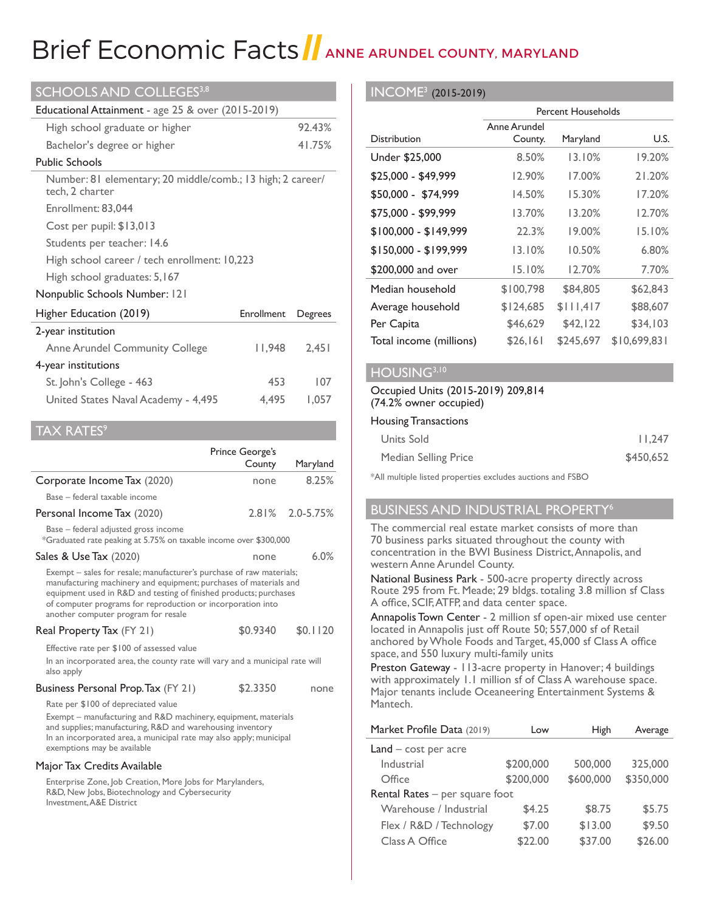# Brief Economic Facts ANNE ARUNDEL COUNTY, MARYLAND

| <b>SCHOOLS AND COLLEGES3,8</b>                                                |            |         |  |
|-------------------------------------------------------------------------------|------------|---------|--|
| Educational Attainment - age 25 & over (2015-2019)                            |            |         |  |
| High school graduate or higher                                                |            | 92.43%  |  |
| Bachelor's degree or higher                                                   |            | 41.75%  |  |
| <b>Public Schools</b>                                                         |            |         |  |
| Number: 81 elementary; 20 middle/comb.; 13 high; 2 career/<br>tech, 2 charter |            |         |  |
| Enrollment: 83,044                                                            |            |         |  |
| Cost per pupil: \$13,013                                                      |            |         |  |
| Students per teacher: 14.6                                                    |            |         |  |
| High school career / tech enrollment: 10,223                                  |            |         |  |
| High school graduates: 5, 167                                                 |            |         |  |
| Nonpublic Schools Number: 121                                                 |            |         |  |
| Higher Education (2019)                                                       | Enrollment | Degrees |  |
| 2-year institution                                                            |            |         |  |
| <b>Anne Arundel Community College</b>                                         | l I,948    | 2,451   |  |
| 4-year institutions                                                           |            |         |  |
| St. John's College - 463                                                      | 453        | 107     |  |
| United States Naval Academy - 4,495                                           | 4.495      | 1,057   |  |

#### TAX RATES<sup>9</sup>

|                                                                                                                                                                                                                                                                                                                      | Prince George's<br>County | Maryland        |
|----------------------------------------------------------------------------------------------------------------------------------------------------------------------------------------------------------------------------------------------------------------------------------------------------------------------|---------------------------|-----------------|
| Corporate Income Tax (2020)                                                                                                                                                                                                                                                                                          | none                      | 8.25%           |
| Base - federal taxable income                                                                                                                                                                                                                                                                                        |                           |                 |
| Personal Income Tax (2020)                                                                                                                                                                                                                                                                                           |                           | 2.81% 2.0-5.75% |
| Base - federal adjusted gross income<br>*Graduated rate peaking at 5.75% on taxable income over \$300,000                                                                                                                                                                                                            |                           |                 |
| Sales & Use Tax (2020)                                                                                                                                                                                                                                                                                               | none                      | 6.0%            |
| Exempt – sales for resale; manufacturer's purchase of raw materials;<br>manufacturing machinery and equipment; purchases of materials and<br>equipment used in R&D and testing of finished products; purchases<br>of computer programs for reproduction or incorporation into<br>another computer program for resale |                           |                 |

#### Real Property Tax (FY 21) \$0.9340 \$0.1120

Effective rate per \$100 of assessed value

 In an incorporated area, the county rate will vary and a municipal rate will also apply

#### Business Personal Prop. Tax (FY 21) \$2.3350 none

Rate per \$100 of depreciated value

 Exempt – manufacturing and R&D machinery, equipment, materials and supplies; manufacturing, R&D and warehousing inventory In an incorporated area, a municipal rate may also apply; municipal exemptions may be available

#### Major Tax Credits Available

 Enterprise Zone, Job Creation, More Jobs for Marylanders, R&D, New Jobs, Biotechnology and Cybersecurity Investment, A&E District

#### INCOME3 (2015-2019)

|                         | <b>Percent Households</b> |           |              |
|-------------------------|---------------------------|-----------|--------------|
| <b>Distribution</b>     | Anne Arundel<br>County.   | Maryland  | U.S.         |
| Under \$25,000          | 8.50%                     | 13.10%    | 19.20%       |
| \$25,000 - \$49,999     | 12.90%                    | 17.00%    | 21.20%       |
| \$50,000 - \$74,999     | 14.50%                    | 15.30%    | 17.20%       |
| \$75,000 - \$99,999     | 13.70%                    | 13.20%    | 12.70%       |
| $$100,000 - $149,999$   | 22.3%                     | 19.00%    | 15.10%       |
| $$150,000 - $199,999$   | 13.10%                    | 10.50%    | 6.80%        |
| \$200,000 and over      | 15.10%                    | 12.70%    | 7.70%        |
| Median household        | \$100,798                 | \$84,805  | \$62,843     |
| Average household       | \$124,685                 | \$111,417 | \$88,607     |
| Per Capita              | \$46,629                  | \$42,122  | \$34,103     |
| Total income (millions) | \$26,161                  | \$245,697 | \$10.699.831 |

#### HOUSING<sup>3,10</sup>

#### Occupied Units (2015-2019) 209,814 (74.2% owner occupied)

#### Housing Transactions

| Units Sold           | 11.247    |
|----------------------|-----------|
| Median Selling Price | \$450,652 |

\*All multiple listed properties excludes auctions and FSBO

#### BUSINESS AND INDUSTRIAL PROPERTY6

The commercial real estate market consists of more than 70 business parks situated throughout the county with concentration in the BWI Business District, Annapolis, and western Anne Arundel County.

National Business Park - 500-acre property directly across Route 295 from Ft. Meade; 29 bldgs. totaling 3.8 million sf Class A office, SCIF,ATFP, and data center space.

Annapolis Town Center - 2 million sf open-air mixed use center located in Annapolis just off Route 50; 557,000 sf of Retail anchored byWhole Foods and Target, 45,000 sf Class A office space, and 550 luxury multi-family units

Preston Gateway - 113-acre property in Hanover; 4 buildings with approximately 1.1 million sf of Class A warehouse space. Major tenants include Oceaneering Entertainment Systems & Mantech.

| Market Profile Data (2019)     | Low       | High      | Average   |
|--------------------------------|-----------|-----------|-----------|
| $Land - cost per acre$         |           |           |           |
| Industrial                     | \$200,000 | 500,000   | 325,000   |
| Office                         | \$200,000 | \$600,000 | \$350,000 |
| Rental Rates - per square foot |           |           |           |
| Warehouse / Industrial         | \$4.25    | \$8.75    | \$5.75    |
| Flex / R&D / Technology        | \$7.00    | \$13.00   | \$9.50    |
| Class A Office                 | \$22.00   | \$37.00   | \$26.00   |